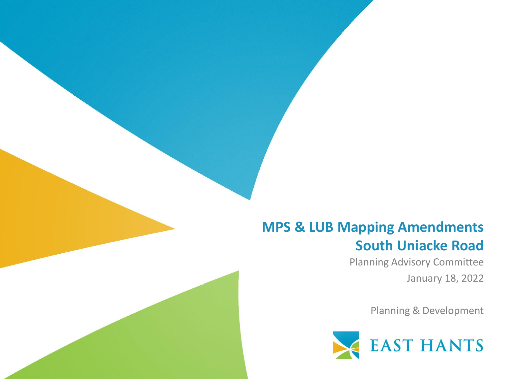#### **MPS & LUB Mapping Amendments South Uniacke Road**

Planning Advisory Committee January 18, 2022

Planning & Development

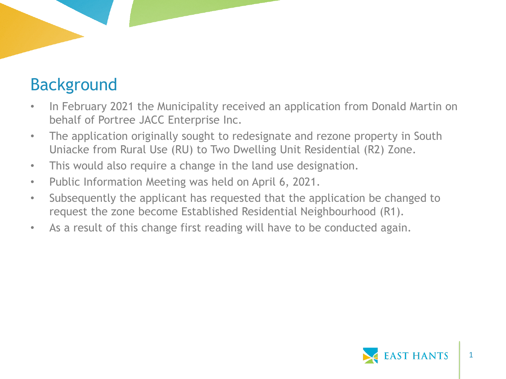## Background

- In February 2021 the Municipality received an application from Donald Martin on behalf of Portree JACC Enterprise Inc.
- The application originally sought to redesignate and rezone property in South Uniacke from Rural Use (RU) to Two Dwelling Unit Residential (R2) Zone.
- This would also require a change in the land use designation.
- Public Information Meeting was held on April 6, 2021.
- Subsequently the applicant has requested that the application be changed to request the zone become Established Residential Neighbourhood (R1).
- As a result of this change first reading will have to be conducted again.

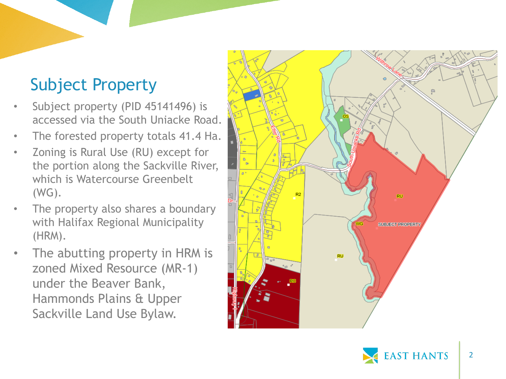# Subject Property

- Subject property (PID 45141496) is accessed via the South Uniacke Road.
- The forested property totals 41.4 Ha.
- Zoning is Rural Use (RU) except for the portion along the Sackville River, which is Watercourse Greenbelt (WG).
- The property also shares a boundary with Halifax Regional Municipality (HRM).
- The abutting property in HRM is zoned Mixed Resource (MR -1) under the Beaver Bank, Hammonds Plains & Upper Sackville Land Use Bylaw.



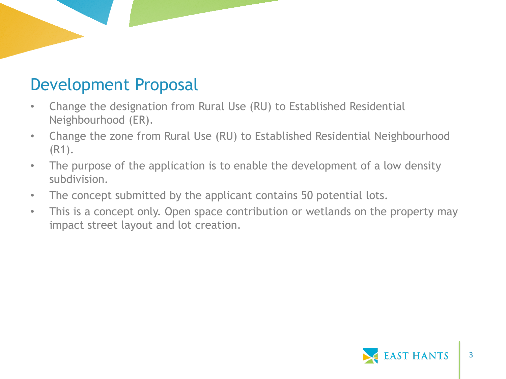#### Development Proposal

- Change the designation from Rural Use (RU) to Established Residential Neighbourhood (ER).
- Change the zone from Rural Use (RU) to Established Residential Neighbourhood (R1).
- The purpose of the application is to enable the development of a low density subdivision.
- The concept submitted by the applicant contains 50 potential lots.
- This is a concept only. Open space contribution or wetlands on the property may impact street layout and lot creation.

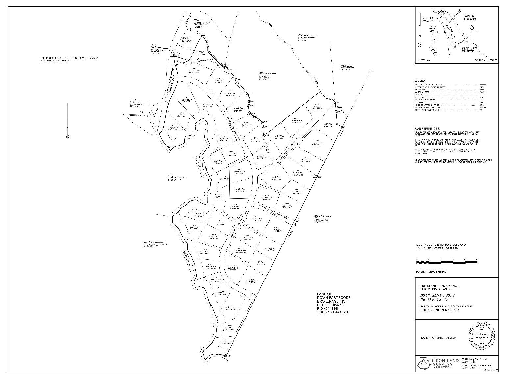



EXISTING ZONE IS RU, RURAL USE AND<br>WG, WATER COURSE GREENBELT.

#### LANDS UNDER SHRADVARD SUNDERT TO ANY RIGHTS ATOMIC IN HOR MARCHY IN DISTINCT.<br>IN FIGHT OF THE PROVINCE OF NOW SCOTIA CYMPTUD OF THE EMPIRATION TACT.

SIMILAN SANGYALA KITSUNDAY SONGA LANG PERDANGSI KLARK<br>DATER DECEMBER 21-ART, CEPTIT ED BY MELIATILA ALLEGN, MELIA LEG<br>PLAN NO. MAN

2010 AND FRUNCH OF LORGEN DOUGLASS, SINCLOCKER ASSAULT AND COMPARED AT A SUBSERVER OF A SUBSERVER OF A SUBSERVER OF A SUBSERVER OF A SUBSERVER OF A SUBSERVER OF A SUBSERVER OF A SUBSERVER OF A SUBSERVER OF A SUBSERVER OF A

**PLAN REFERENCES:** THE AN OF RUSSES APPROVATION TO THE LATER DEVOLACE RANGE FOR THE CONDUCT  $\mathcal{L}^{\text{max}}$  of the set of the state of the set of the set of the set of the set of the set of the set of the set of the set of the set of the set

| LESEND:                                                                   |            |  |            |
|---------------------------------------------------------------------------|------------|--|------------|
| PROPERTY CENTER CONSUMINGER                                               |            |  | 217.       |
| come may have gone as an an ad \$9.51<br>No. White Point<br><b>ED WH-</b> | and profes |  | 20.91<br>- |
| <b>RAN MORAL SENTER POINT AND A RESIDENCE</b>                             |            |  |            |
| Card Mitted and other and the action.                                     |            |  |            |
|                                                                           |            |  |            |

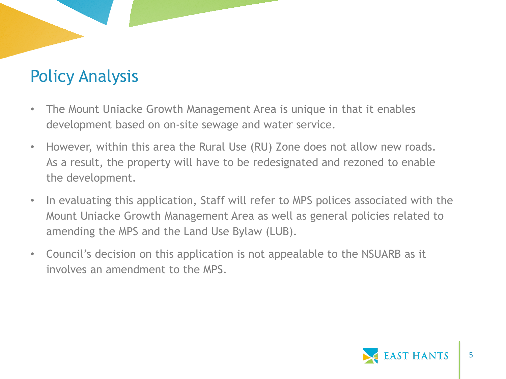- The Mount Uniacke Growth Management Area is unique in that it enables development based on on-site sewage and water service.
- However, within this area the Rural Use (RU) Zone does not allow new roads. As a result, the property will have to be redesignated and rezoned to enable the development.
- In evaluating this application, Staff will refer to MPS polices associated with the Mount Uniacke Growth Management Area as well as general policies related to amending the MPS and the Land Use Bylaw (LUB).
- Council's decision on this application is not appealable to the NSUARB as it involves an amendment to the MPS.

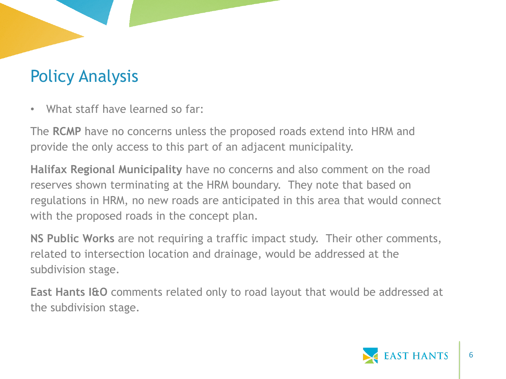• What staff have learned so far:

The **RCMP** have no concerns unless the proposed roads extend into HRM and provide the only access to this part of an adjacent municipality.

**Halifax Regional Municipality** have no concerns and also comment on the road reserves shown terminating at the HRM boundary. They note that based on regulations in HRM, no new roads are anticipated in this area that would connect with the proposed roads in the concept plan.

**NS Public Works** are not requiring a traffic impact study. Their other comments, related to intersection location and drainage, would be addressed at the subdivision stage.

**East Hants I&O** comments related only to road layout that would be addressed at the subdivision stage.

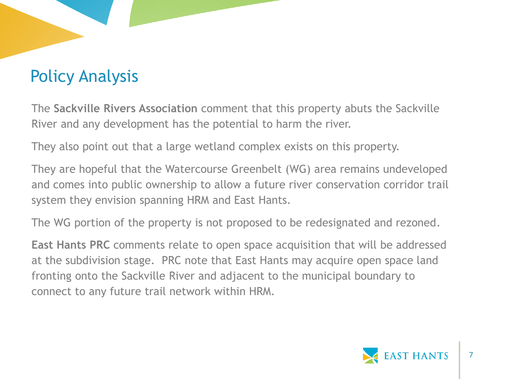The **Sackville Rivers Association** comment that this property abuts the Sackville River and any development has the potential to harm the river.

They also point out that a large wetland complex exists on this property.

They are hopeful that the Watercourse Greenbelt (WG) area remains undeveloped and comes into public ownership to allow a future river conservation corridor trail system they envision spanning HRM and East Hants.

The WG portion of the property is not proposed to be redesignated and rezoned.

**East Hants PRC** comments relate to open space acquisition that will be addressed at the subdivision stage. PRC note that East Hants may acquire open space land fronting onto the Sackville River and adjacent to the municipal boundary to connect to any future trail network within HRM.

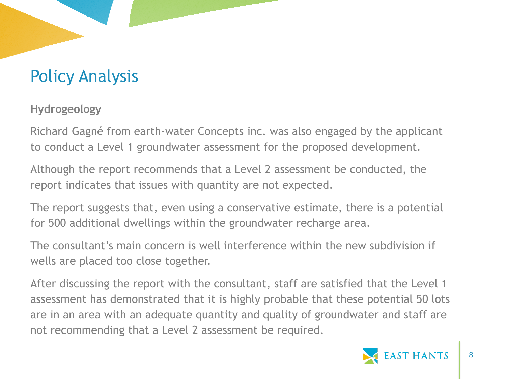**Hydrogeology**

Richard Gagné from earth-water Concepts inc. was also engaged by the applicant to conduct a Level 1 groundwater assessment for the proposed development.

Although the report recommends that a Level 2 assessment be conducted, the report indicates that issues with quantity are not expected.

The report suggests that, even using a conservative estimate, there is a potential for 500 additional dwellings within the groundwater recharge area.

The consultant's main concern is well interference within the new subdivision if wells are placed too close together.

After discussing the report with the consultant, staff are satisfied that the Level 1 assessment has demonstrated that it is highly probable that these potential 50 lots are in an area with an adequate quantity and quality of groundwater and staff are not recommending that a Level 2 assessment be required.

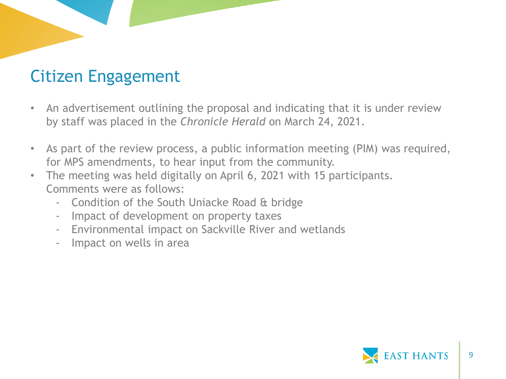#### Citizen Engagement

- An advertisement outlining the proposal and indicating that it is under review by staff was placed in the *Chronicle Herald* on March 24, 2021.
- As part of the review process, a public information meeting (PIM) was required, for MPS amendments, to hear input from the community.
- The meeting was held digitally on April 6, 2021 with 15 participants. Comments were as follows:
	- Condition of the South Uniacke Road & bridge
	- Impact of development on property taxes
	- Environmental impact on Sackville River and wetlands
	- Impact on wells in area

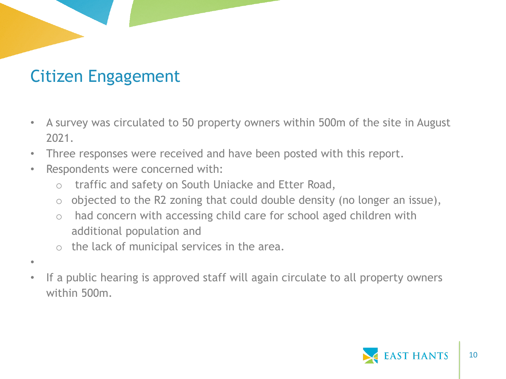#### Citizen Engagement

- A survey was circulated to 50 property owners within 500m of the site in August 2021.
- Three responses were received and have been posted with this report.
- Respondents were concerned with:
	- o traffic and safety on South Uniacke and Etter Road,
	- $\circ$  objected to the R2 zoning that could double density (no longer an issue),
	- o had concern with accessing child care for school aged children with additional population and
	- o the lack of municipal services in the area.
- •
- If a public hearing is approved staff will again circulate to all property owners within 500m.

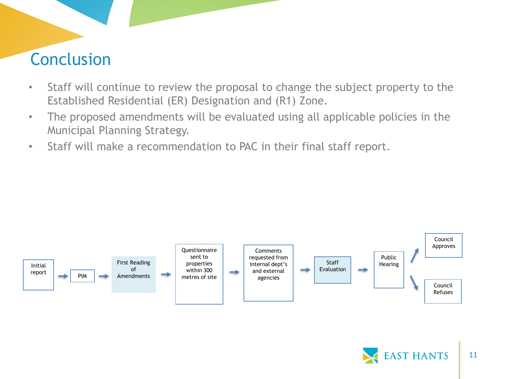#### Conclusion

- Staff will continue to review the proposal to change the subject property to the Established Residential (ER) Designation and (R1) Zone.
- The proposed amendments will be evaluated using all applicable policies in the Municipal Planning Strategy.
- Staff will make a recommendation to PAC in their final staff report.